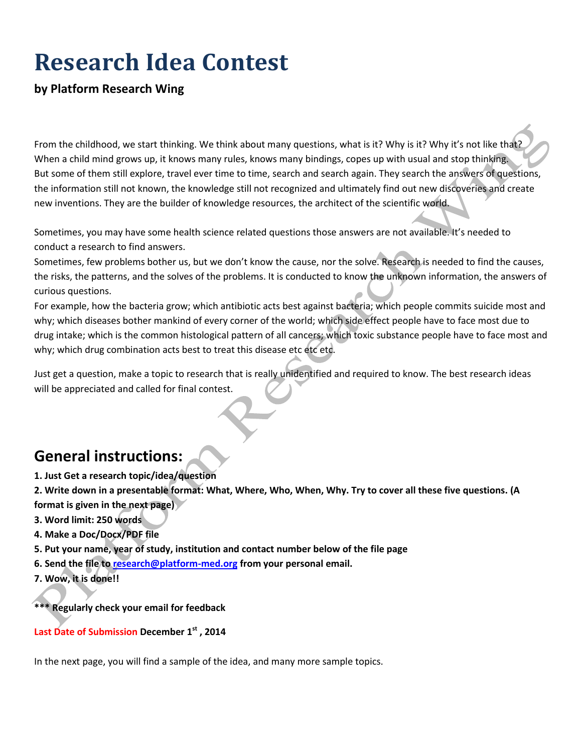# **Research Idea Contest**

## **by Platform Research Wing**

From the childhood, we start thinking. We think about many questions, what is it? Why is it? Why it's not like that? When a child mind grows up, it knows many rules, knows many bindings, copes up with usual and stop thinking. But some of them still explore, travel ever time to time, search and search again. They search the answers of questions, the information still not known, the knowledge still not recognized and ultimately find out new discoveries and create new inventions. They are the builder of knowledge resources, the architect of the scientific world.

Sometimes, you may have some health science related questions those answers are not available. It's needed to conduct a research to find answers.

Sometimes, few problems bother us, but we don't know the cause, nor the solve. Research is needed to find the causes, the risks, the patterns, and the solves of the problems. It is conducted to know the unknown information, the answers of curious questions.

For example, how the bacteria grow; which antibiotic acts best against bacteria; which people commits suicide most and why; which diseases bother mankind of every corner of the world; which side effect people have to face most due to drug intake; which is the common histological pattern of all cancers; which toxic substance people have to face most and why; which drug combination acts best to treat this disease etc etc etc.

Just get a question, make a topic to research that is really unidentified and required to know. The best research ideas will be appreciated and called for final contest.

## **General instructions:**

**1. Just Get a research topic/idea/question** 

**2. Write down in a presentable format: What, Where, Who, When, Why. Try to cover all these five questions. (A format is given in the next page)**

- **3. Word limit: 250 words**
- **4. Make a Doc/Docx/PDF file**
- **5. Put your name, year of study, institution and contact number below of the file page**
- **6. Send the file to [research@platform-med.org](mailto:research@platform-med.org) from your personal email.**
- **7. Wow, it is done!!**

**\*\*\* Regularly check your email for feedback**

**Last Date of Submission December 1st , 2014**

In the next page, you will find a sample of the idea, and many more sample topics.